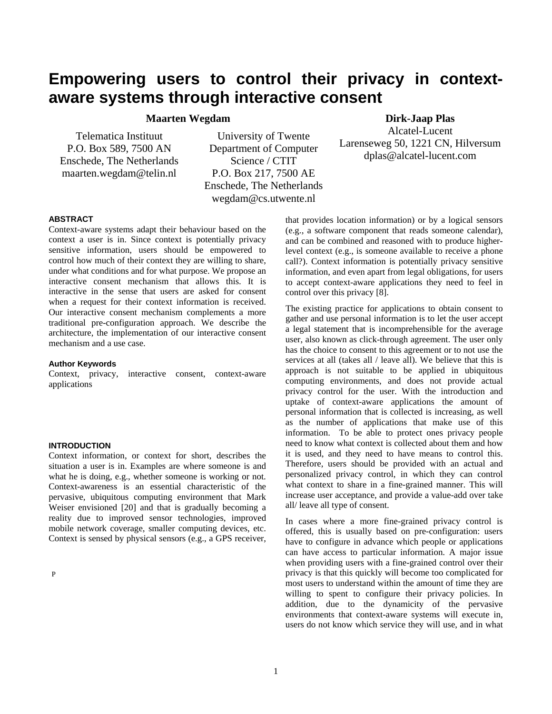# **Empowering users to control their privacy in contextaware systems through interactive consent**

**Maarten Wegdam** 

Telematica Instituut P.O. Box 589, 7500 AN Enschede, The Netherlands maarten.wegdam@telin.nl

University of Twente Department of Computer Science / CTIT P.O. Box 217, 7500 AE Enschede, The Netherlands wegdam@cs.utwente.nl

# **Dirk-Jaap Plas**

Alcatel-Lucent Larenseweg 50, 1221 CN, Hilversum dplas@alcatel-lucent.com

# **ABSTRACT**

Context-aware systems adapt their behaviour based on the context a user is in. Since context is potentially privacy sensitive information, users should be empowered to control how much of their context they are willing to share, under what conditions and for what purpose. We propose an interactive consent mechanism that allows this. It is interactive in the sense that users are asked for consent when a request for their context information is received. Our interactive consent mechanism complements a more traditional pre-configuration approach. We describe the architecture, the implementation of our interactive consent mechanism and a use case.

#### **Author Keywords**

Context, privacy, interactive consent, context-aware applications

# **INTRODUCTION**

Context information, or context for short, describes the situation a user is in. Examples are where someone is and what he is doing, e.g., whether someone is working or not. Context-awareness is an essential characteristic of the pervasive, ubiquitous computing environment that Mark Weiser envisioned [[20\]](#page-8-0) and that is gradually becoming a reality due to improved sensor technologies, improved mobile network coverage, smaller computing devices, etc. Context is sensed by physical sensors (e.g., a GPS receiver,

P

that provides location information) or by a logical sensors (e.g., a software component that reads someone calendar), and can be combined and reasoned with to produce higherlevel context (e.g., is someone available to receive a phone call?). Context information is potentially privacy sensitive information, and even apart from legal obligations, for users to accept context-aware applications they need to feel in control over this privacy [[8\]](#page-8-1).

The existing practice for applications to obtain consent to gather and use personal information is to let the user accept a legal statement that is incomprehensible for the average user, also known as click-through agreement. The user only has the choice to consent to this agreement or to not use the services at all (takes all / leave all). We believe that this is approach is not suitable to be applied in ubiquitous computing environments, and does not provide actual privacy control for the user. With the introduction and uptake of context-aware applications the amount of personal information that is collected is increasing, as well as the number of applications that make use of this information. To be able to protect ones privacy people need to know what context is collected about them and how it is used, and they need to have means to control this. Therefore, users should be provided with an actual and personalized privacy control, in which they can control what context to share in a fine-grained manner. This will increase user acceptance, and provide a value-add over take all/ leave all type of consent.

In cases where a more fine-grained privacy control is offered, this is usually based on pre-configuration: users have to configure in advance which people or applications can have access to particular information. A major issue when providing users with a fine-grained control over their privacy is that this quickly will become too complicated for most users to understand within the amount of time they are willing to spent to configure their privacy policies. In addition, due to the dynamicity of the pervasive environments that context-aware systems will execute in, users do not know which service they will use, and in what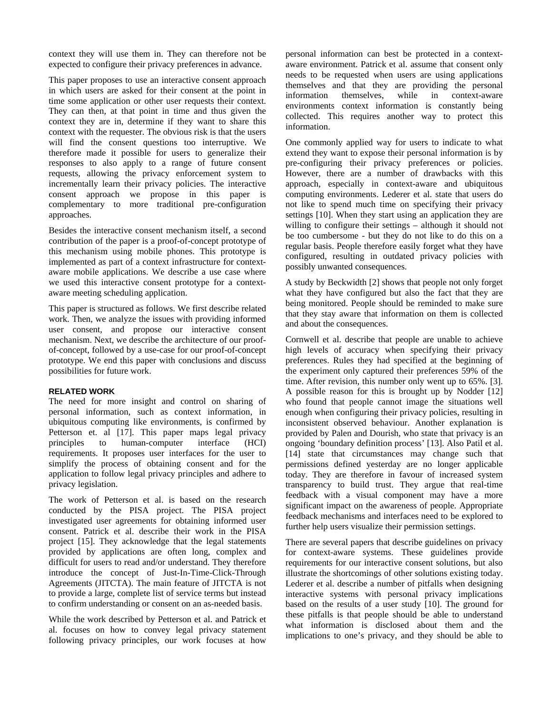context they will use them in. They can therefore not be expected to configure their privacy preferences in advance.

This paper proposes to use an interactive consent approach in which users are asked for their consent at the point in time some application or other user requests their context. They can then, at that point in time and thus given the context they are in, determine if they want to share this context with the requester. The obvious risk is that the users will find the consent questions too interruptive. We therefore made it possible for users to generalize their responses to also apply to a range of future consent requests, allowing the privacy enforcement system to incrementally learn their privacy policies. The interactive consent approach we propose in this paper is complementary to more traditional pre-configuration approaches.

Besides the interactive consent mechanism itself, a second contribution of the paper is a proof-of-concept prototype of this mechanism using mobile phones. This prototype is implemented as part of a context infrastructure for contextaware mobile applications. We describe a use case where we used this interactive consent prototype for a contextaware meeting scheduling application.

This paper is structured as follows. We first describe related work. Then, we analyze the issues with providing informed user consent, and propose our interactive consent mechanism. Next, we describe the architecture of our proofof-concept, followed by a use-case for our proof-of-concept prototype. We end this paper with conclusions and discuss possibilities for future work.

# **RELATED WORK**

The need for more insight and control on sharing of personal information, such as context information, in ubiquitous computing like environments, is confirmed by Petterson et. al [[17\]](#page-8-2). This paper maps legal privacy principles to human-computer interface (HCI) requirements. It proposes user interfaces for the user to simplify the process of obtaining consent and for the application to follow legal privacy principles and adhere to privacy legislation.

The work of Petterson et al. is based on the research conducted by the PISA project. The PISA project investigated user agreements for obtaining informed user consent. Patrick et al. describe their work in the PISA project [[15\]](#page-8-3). They acknowledge that the legal statements provided by applications are often long, complex and difficult for users to read and/or understand. They therefore introduce the concept of Just-In-Time-Click-Through Agreements (JITCTA). The main feature of JITCTA is not to provide a large, complete list of service terms but instead to confirm understanding or consent on an as-needed basis.

While the work described by Petterson et al. and Patrick et al. focuses on how to convey legal privacy statement following privacy principles, our work focuses at how personal information can best be protected in a contextaware environment. Patrick et al. assume that consent only needs to be requested when users are using applications themselves and that they are providing the personal information themselves, while in context-aware environments context information is constantly being collected. This requires another way to protect this information.

One commonly applied way for users to indicate to what extend they want to expose their personal information is by pre-configuring their privacy preferences or policies. However, there are a number of drawbacks with this approach, especially in context-aware and ubiquitous computing environments. Lederer et al. state that users do not like to spend much time on specifying their privacy settings [[10\]](#page-8-4). When they start using an application they are willing to configure their settings – although it should not be too cumbersome - but they do not like to do this on a regular basis. People therefore easily forget what they have configured, resulting in outdated privacy policies with possibly unwanted consequences.

A study by Beckwidth [[2\]](#page-8-5) shows that people not only forget what they have configured but also the fact that they are being monitored. People should be reminded to make sure that they stay aware that information on them is collected and about the consequences.

Cornwell et al. describe that people are unable to achieve high levels of accuracy when specifying their privacy preferences. Rules they had specified at the beginning of the experiment only captured their preferences 59% of the time. After revision, this number only went up to 65%. [\[3](#page-8-6)]. A possible reason for this is brought up by Nodder [[12\]](#page-8-7) who found that people cannot image the situations well enough when configuring their privacy policies, resulting in inconsistent observed behaviour. Another explanation is provided by Palen and Dourish, who state that privacy is an ongoing 'boundary definition process' [\[13](#page-8-8)]. Also Patil et al. [\[14](#page-8-9)] state that circumstances may change such that permissions defined yesterday are no longer applicable today. They are therefore in favour of increased system transparency to build trust. They argue that real-time feedback with a visual component may have a more significant impact on the awareness of people. Appropriate feedback mechanisms and interfaces need to be explored to further help users visualize their permission settings.

There are several papers that describe guidelines on privacy for context-aware systems. These guidelines provide requirements for our interactive consent solutions, but also illustrate the shortcomings of other solutions existing today. Lederer et al. describe a number of pitfalls when designing interactive systems with personal privacy implications based on the results of a user study [[10\]](#page-8-4). The ground for these pitfalls is that people should be able to understand what information is disclosed about them and the implications to one's privacy, and they should be able to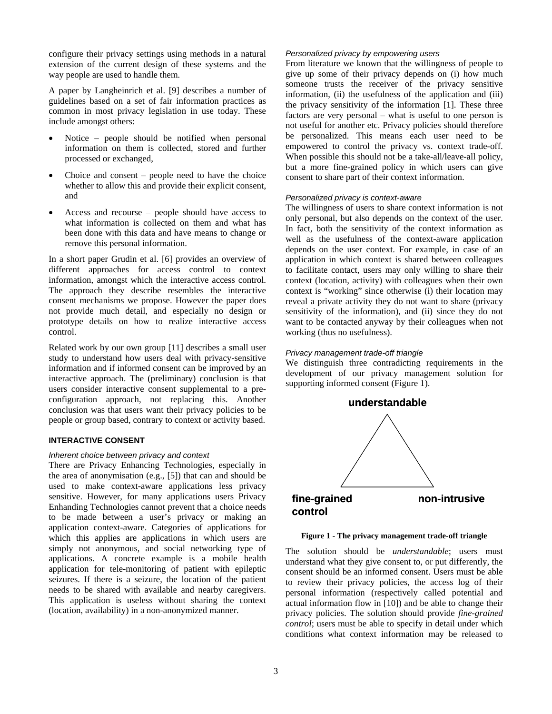configure their privacy settings using methods in a natural extension of the current design of these systems and the way people are used to handle them.

A paper by Langheinrich et al. [[9\]](#page-8-10) describes a number of guidelines based on a set of fair information practices as common in most privacy legislation in use today. These include amongst others:

- Notice people should be notified when personal information on them is collected, stored and further processed or exchanged,
- Choice and consent people need to have the choice whether to allow this and provide their explicit consent. and
- Access and recourse people should have access to what information is collected on them and what has been done with this data and have means to change or remove this personal information.

In a short paper Grudin et al. [[6\]](#page-8-11) provides an overview of different approaches for access control to context information, amongst which the interactive access control. The approach they describe resembles the interactive consent mechanisms we propose. However the paper does not provide much detail, and especially no design or prototype details on how to realize interactive access control.

Related work by our own group [\[11](#page-8-12)] describes a small user study to understand how users deal with privacy-sensitive information and if informed consent can be improved by an interactive approach. The (preliminary) conclusion is that users consider interactive consent supplemental to a preconfiguration approach, not replacing this. Another conclusion was that users want their privacy policies to be people or group based, contrary to context or activity based.

#### **INTERACTIVE CONSENT**

#### *Inherent choice between privacy and context*

There are Privacy Enhancing Technologies, especially in the area of anonymisation (e.g., [\[5\]](#page-8-13)) that can and should be used to make context-aware applications less privacy sensitive. However, for many applications users Privacy Enhanding Technologies cannot prevent that a choice needs to be made between a user's privacy or making an application context-aware. Categories of applications for which this applies are applications in which users are simply not anonymous, and social networking type of applications. A concrete example is a mobile health application for tele-monitoring of patient with epileptic seizures. If there is a seizure, the location of the patient needs to be shared with available and nearby caregivers. This application is useless without sharing the context (location, availability) in a non-anonymized manner.

#### *Personalized privacy by empowering users*

From literature we known that the willingness of people to give up some of their privacy depends on (i) how much someone trusts the receiver of the privacy sensitive information, (ii) the usefulness of the application and (iii) the privacy sensitivity of the information [\[1](#page-8-14)]. These three factors are very personal – what is useful to one person is not useful for another etc. Privacy policies should therefore be personalized. This means each user need to be empowered to control the privacy vs. context trade-off. When possible this should not be a take-all/leave-all policy, but a more fine-grained policy in which users can give consent to share part of their context information.

#### *Personalized privacy is context-aware*

The willingness of users to share context information is not only personal, but also depends on the context of the user. In fact, both the sensitivity of the context information as well as the usefulness of the context-aware application depends on the user context. For example, in case of an application in which context is shared between colleagues to facilitate contact, users may only willing to share their context (location, activity) with colleagues when their own context is "working" since otherwise (i) their location may reveal a private activity they do not want to share (privacy sensitivity of the information), and (ii) since they do not want to be contacted anyway by their colleagues when not working (thus no usefulness).

#### *Privacy management trade-off triangle*

We distinguish three contradicting requirements in the development of our privacy management solution for supporting informed consent (Figure 1).



**Figure 1 - The privacy management trade-off triangle** 

The solution should be *understandable*; users must understand what they give consent to, or put differently, the consent should be an informed consent. Users must be able to review their privacy policies, the access log of their personal information (respectively called potential and actual information flow in [[10\]](#page-8-4)) and be able to change their privacy policies. The solution should provide *fine-grained control*; users must be able to specify in detail under which conditions what context information may be released to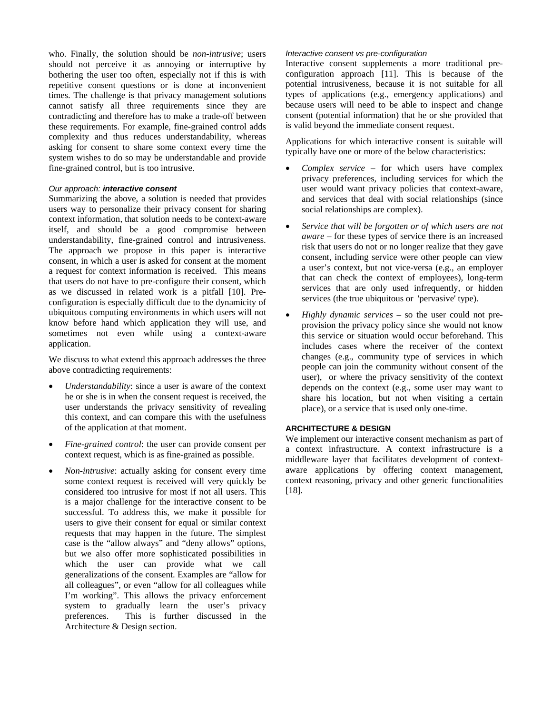who. Finally, the solution should be *non-intrusive*; users should not perceive it as annoying or interruptive by bothering the user too often, especially not if this is with repetitive consent questions or is done at inconvenient times. The challenge is that privacy management solutions cannot satisfy all three requirements since they are contradicting and therefore has to make a trade-off between these requirements. For example, fine-grained control adds complexity and thus reduces understandability, whereas asking for consent to share some context every time the system wishes to do so may be understandable and provide fine-grained control, but is too intrusive.

# *Our approach: interactive consent*

Summarizing the above, a solution is needed that provides users way to personalize their privacy consent for sharing context information, that solution needs to be context-aware itself, and should be a good compromise between understandability, fine-grained control and intrusiveness. The approach we propose in this paper is interactive consent, in which a user is asked for consent at the moment a request for context information is received. This means that users do not have to pre-configure their consent, which as we discussed in related work is a pitfall [\[10](#page-8-4)]. Preconfiguration is especially difficult due to the dynamicity of ubiquitous computing environments in which users will not know before hand which application they will use, and sometimes not even while using a context-aware application.

We discuss to what extend this approach addresses the three above contradicting requirements:

- *Understandability*: since a user is aware of the context he or she is in when the consent request is received, the user understands the privacy sensitivity of revealing this context, and can compare this with the usefulness of the application at that moment.
- *Fine-grained control*: the user can provide consent per context request, which is as fine-grained as possible.
- *Non-intrusive*: actually asking for consent every time some context request is received will very quickly be considered too intrusive for most if not all users. This is a major challenge for the interactive consent to be successful. To address this, we make it possible for users to give their consent for equal or similar context requests that may happen in the future. The simplest case is the "allow always" and "deny allows" options, but we also offer more sophisticated possibilities in which the user can provide what we call generalizations of the consent. Examples are "allow for all colleagues", or even "allow for all colleagues while I'm working". This allows the privacy enforcement system to gradually learn the user's privacy preferences. This is further discussed in the Architecture & Design section.

#### *Interactive consent vs pre-configuration*

Interactive consent supplements a more traditional preconfiguration approach [\[11](#page-8-12)]. This is because of the potential intrusiveness, because it is not suitable for all types of applications (e.g., emergency applications) and because users will need to be able to inspect and change consent (potential information) that he or she provided that is valid beyond the immediate consent request.

Applications for which interactive consent is suitable will typically have one or more of the below characteristics:

- *Complex service* for which users have complex privacy preferences, including services for which the user would want privacy policies that context-aware, and services that deal with social relationships (since social relationships are complex).
- *Service that will be forgotten or of which users are not aware* – for these types of service there is an increased risk that users do not or no longer realize that they gave consent, including service were other people can view a user's context, but not vice-versa (e.g., an employer that can check the context of employees), long-term services that are only used infrequently, or hidden services (the true ubiquitous or 'pervasive' type).
- *Highly dynamic services* so the user could not preprovision the privacy policy since she would not know this service or situation would occur beforehand. This includes cases where the receiver of the context changes (e.g., community type of services in which people can join the community without consent of the user), or where the privacy sensitivity of the context depends on the context (e.g., some user may want to share his location, but not when visiting a certain place), or a service that is used only one-time.

#### **ARCHITECTURE & DESIGN**

We implement our interactive consent mechanism as part of a context infrastructure. A context infrastructure is a middleware layer that facilitates development of contextaware applications by offering context management, context reasoning, privacy and other generic functionalities [\[18](#page-8-15)].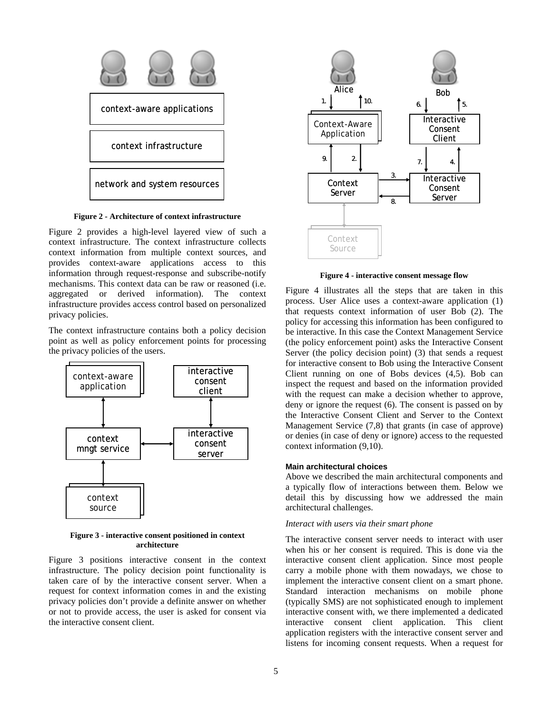

**Figure 2 - Architecture of context infrastructure** 

<span id="page-4-2"></span><span id="page-4-0"></span>[Figure 2](#page-4-0) provides a high-level layered view of such a context infrastructure. The context infrastructure collects context information from multiple context sources, and provides context-aware applications access to this information through request-response and subscribe-notify mechanisms. This context data can be raw or reasoned (i.e. aggregated or derived information). The context infrastructure provides access control based on personalized privacy policies.

The context infrastructure contains both a policy decision point as well as policy enforcement points for processing the privacy policies of the users.



**Figure 3 - interactive consent positioned in context architecture** 

<span id="page-4-1"></span>[Figure 3](#page-4-1) positions interactive consent in the context infrastructure. The policy decision point functionality is taken care of by the interactive consent server. When a request for context information comes in and the existing privacy policies don't provide a definite answer on whether or not to provide access, the user is asked for consent via the interactive consent client.



**Figure 4 - interactive consent message flow** 

[Figure 4](#page-4-2) illustrates all the steps that are taken in this process. User Alice uses a context-aware application (1) that requests context information of user Bob (2). The policy for accessing this information has been configured to be interactive. In this case the Context Management Service (the policy enforcement point) asks the Interactive Consent Server (the policy decision point) (3) that sends a request for interactive consent to Bob using the Interactive Consent Client running on one of Bobs devices (4,5). Bob can inspect the request and based on the information provided with the request can make a decision whether to approve, deny or ignore the request (6). The consent is passed on by the Interactive Consent Client and Server to the Context Management Service (7,8) that grants (in case of approve) or denies (in case of deny or ignore) access to the requested context information (9,10).

#### **Main architectural choices**

Above we described the main architectural components and a typically flow of interactions between them. Below we detail this by discussing how we addressed the main architectural challenges.

#### *Interact with users via their smart phone*

The interactive consent server needs to interact with user when his or her consent is required. This is done via the interactive consent client application. Since most people carry a mobile phone with them nowadays, we chose to implement the interactive consent client on a smart phone. Standard interaction mechanisms on mobile phone (typically SMS) are not sophisticated enough to implement interactive consent with, we there implemented a dedicated interactive consent client application. This client application registers with the interactive consent server and listens for incoming consent requests. When a request for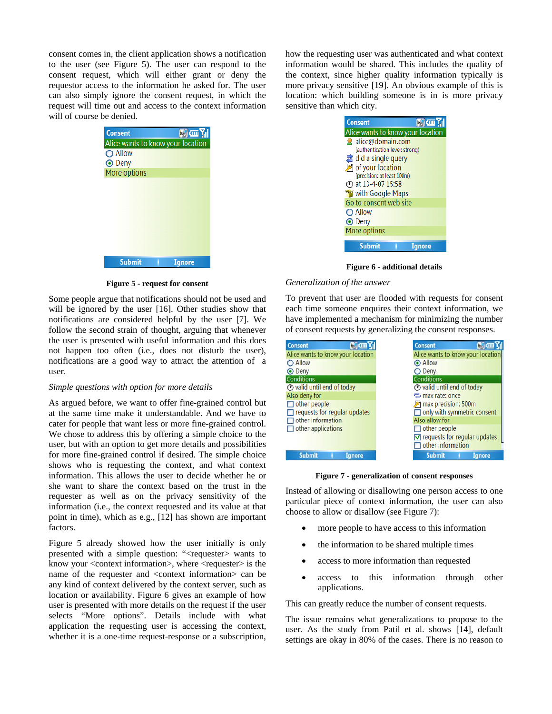consent comes in, the client application shows a notification to the user (see [Figure 5](#page-5-0)). The user can respond to the consent request, which will either grant or deny the requestor access to the information he asked for. The user can also simply ignore the consent request, in which the request will time out and access to the context information will of course be denied.

| 阿西别<br><b>Consent</b>             |
|-----------------------------------|
| Alice wants to know your location |
| O Allow                           |
| <b>⊙</b> Deny                     |
| More options                      |
|                                   |
|                                   |
|                                   |
|                                   |
|                                   |
|                                   |
|                                   |
| <b>Submit</b><br>Ianore           |

**Figure 5 - request for consent** 

<span id="page-5-1"></span><span id="page-5-0"></span>Some people argue that notifications should not be used and will be ignored by the user [\[16](#page-8-16)]. Other studies show that notifications are considered helpful by the user [\[7](#page-8-17)]. We follow the second strain of thought, arguing that whenever the user is presented with useful information and this does not happen too often (i.e., does not disturb the user), notifications are a good way to attract the attention of a user.

#### *Simple questions with option for more details*

As argued before, we want to offer fine-grained control but at the same time make it understandable. And we have to cater for people that want less or more fine-grained control. We chose to address this by offering a simple choice to the user, but with an option to get more details and possibilities for more fine-grained control if desired. The simple choice shows who is requesting the context, and what context information. This allows the user to decide whether he or she want to share the context based on the trust in the requester as well as on the privacy sensitivity of the information (i.e., the context requested and its value at that point in time), which as e.g., [\[12](#page-8-7)] has shown are important factors.

<span id="page-5-2"></span>[Figure 5](#page-5-0) already showed how the user initially is only presented with a simple question: "<requester> wants to know your <context information>, where <requester> is the name of the requester and <context information> can be any kind of context delivered by the context server, such as location or availability. [Figure 6](#page-5-1) gives an example of how user is presented with more details on the request if the user selects "More options". Details include with what application the requesting user is accessing the context, whether it is a one-time request-response or a subscription, how the requesting user was authenticated and what context information would be shared. This includes the quality of the context, since higher quality information typically is more privacy sensitive [\[19\]](#page-8-18). An obvious example of this is location: which building someone is in is more privacy sensitive than which city.

| Consent<br>価別                     |
|-----------------------------------|
| Alice wants to know your location |
| alice@domain.com                  |
| (authentication level: strong)    |
| $\mathbb{Z}$ did a single query   |
| of your location                  |
| (precision: at least 100m)        |
| <b>4 at 13-4-07 15:58</b>         |
| with Google Maps                  |
| Go to consent web site            |
| ◯ Allow                           |
| <b>⊙</b> Deny                     |
| More options                      |
| <b>Submit</b><br>nore             |

**Figure 6 - additional details** 

#### *Generalization of the answer*

To prevent that user are flooded with requests for consent each time someone enquires their context information, we have implemented a mechanism for minimizing the number of consent requests by generalizing the consent responses.

| <b>Consent</b><br><b>MARKETIN</b>       | <b>Consent</b>                               |
|-----------------------------------------|----------------------------------------------|
| Alice wants to know your location       | Alice wants to know your location            |
| O Allow                                 | Allow                                        |
| <b>⊙</b> Deny                           | O Deny                                       |
| <b>Conditions</b>                       | <b>Conditions</b>                            |
| $\circledcirc$ valid until end of today | ⊙ valid until end of today                   |
| Also deny for                           | tomax rate: once                             |
| $\Box$ other people                     | max precision: 500m                          |
| $\Box$ requests for regular updates     | $\Box$ only with symmetric consent           |
| $\Box$ other information                | Also allow for                               |
| $\Box$ other applications               | $\Box$ other people                          |
|                                         | $\triangledown$ requests for regular updates |
|                                         | $\Box$ other information                     |
| <b>Submit</b><br>Ignore                 | <b>Submit</b><br><b>Ignore</b>               |

**Figure 7 - generalization of consent responses** 

Instead of allowing or disallowing one person access to one particular piece of context information, the user can also choose to allow or disallow (see [Figure 7\)](#page-5-2):

- more people to have access to this information
- the information to be shared multiple times
- access to more information than requested
- access to this information through other applications.

This can greatly reduce the number of consent requests.

The issue remains what generalizations to propose to the user. As the study from Patil et al. shows [\[14](#page-8-9)], default settings are okay in 80% of the cases. There is no reason to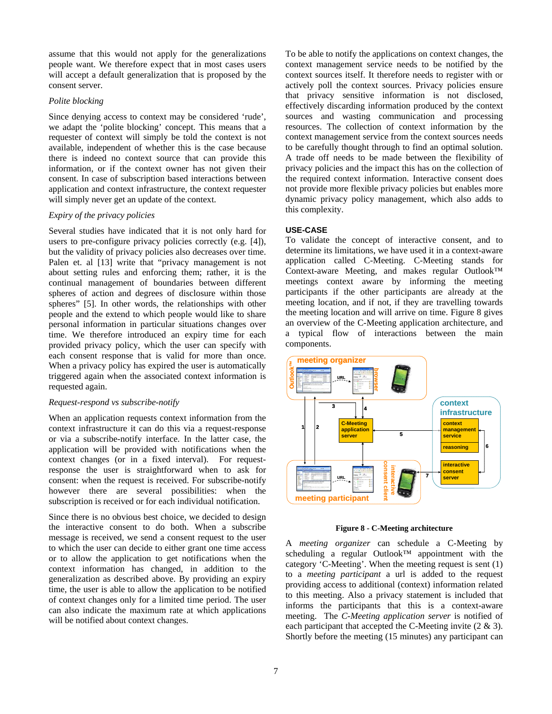assume that this would not apply for the generalizations people want. We therefore expect that in most cases users will accept a default generalization that is proposed by the consent server.

#### *Polite blocking*

Since denying access to context may be considered 'rude', we adapt the 'polite blocking' concept. This means that a requester of context will simply be told the context is not available, independent of whether this is the case because there is indeed no context source that can provide this information, or if the context owner has not given their consent. In case of subscription based interactions between application and context infrastructure, the context requester will simply never get an update of the context.

# *Expiry of the privacy policies*

Several studies have indicated that it is not only hard for users to pre-configure privacy policies correctly (e.g. [\[4](#page-8-19)]), but the validity of privacy policies also decreases over time. Palen et. al [\[13\]](#page-8-8) write that "privacy management is not about setting rules and enforcing them; rather, it is the continual management of boundaries between different spheres of action and degrees of disclosure within those spheres" [5]. In other words, the relationships with other people and the extend to which people would like to share personal information in particular situations changes over time. We therefore introduced an expiry time for each provided privacy policy, which the user can specify with each consent response that is valid for more than once. When a privacy policy has expired the user is automatically triggered again when the associated context information is requested again.

# *Request-respond vs subscribe-notify*

When an application requests context information from the context infrastructure it can do this via a request-response or via a subscribe-notify interface. In the latter case, the application will be provided with notifications when the context changes (or in a fixed interval). For requestresponse the user is straightforward when to ask for consent: when the request is received. For subscribe-notify however there are several possibilities: when the subscription is received or for each individual notification.

<span id="page-6-0"></span>Since there is no obvious best choice, we decided to design the interactive consent to do both. When a subscribe message is received, we send a consent request to the user to which the user can decide to either grant one time access or to allow the application to get notifications when the context information has changed, in addition to the generalization as described above. By providing an expiry time, the user is able to allow the application to be notified of context changes only for a limited time period. The user can also indicate the maximum rate at which applications will be notified about context changes.

To be able to notify the applications on context changes, the context management service needs to be notified by the context sources itself. It therefore needs to register with or actively poll the context sources. Privacy policies ensure that privacy sensitive information is not disclosed, effectively discarding information produced by the context sources and wasting communication and processing resources. The collection of context information by the context management service from the context sources needs to be carefully thought through to find an optimal solution. A trade off needs to be made between the flexibility of privacy policies and the impact this has on the collection of the required context information. Interactive consent does not provide more flexible privacy policies but enables more dynamic privacy policy management, which also adds to this complexity.

## **USE-CASE**

To validate the concept of interactive consent, and to determine its limitations, we have used it in a context-aware application called C-Meeting. C-Meeting stands for Context-aware Meeting, and makes regular Outlook™ meetings context aware by informing the meeting participants if the other participants are already at the meeting location, and if not, if they are travelling towards the meeting location and will arrive on time. [Figure 8](#page-6-0) gives an overview of the C-Meeting application architecture, and a typical flow of interactions between the main components.



**Figure 8 - C-Meeting architecture** 

A *meeting organizer* can schedule a C-Meeting by scheduling a regular Outlook™ appointment with the category 'C-Meeting'. When the meeting request is sent (1) to a *meeting participant* a url is added to the request providing access to additional (context) information related to this meeting. Also a privacy statement is included that informs the participants that this is a context-aware meeting. The *C-Meeting application server* is notified of each participant that accepted the C-Meeting invite (2 & 3). Shortly before the meeting (15 minutes) any participant can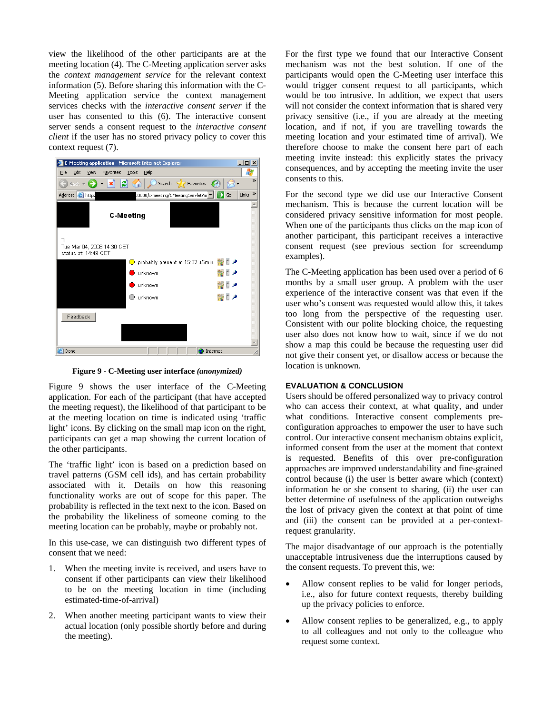view the likelihood of the other participants are at the meeting location (4). The C-Meeting application server asks the *context management service* for the relevant context information (5). Before sharing this information with the C-Meeting application service the context management services checks with the *interactive consent server* if the user has consented to this (6). The interactive consent server sends a consent request to the *interactive consent client* if the user has no stored privacy policy to cover this context request (7).



**Figure 9 - C-Meeting user interface** *(anonymized)*

<span id="page-7-0"></span>[Figure 9](#page-7-0) shows the user interface of the C-Meeting application. For each of the participant (that have accepted the meeting request), the likelihood of that participant to be at the meeting location on time is indicated using 'traffic light' icons. By clicking on the small map icon on the right, participants can get a map showing the current location of the other participants.

The 'traffic light' icon is based on a prediction based on travel patterns (GSM cell ids), and has certain probability associated with it. Details on how this reasoning functionality works are out of scope for this paper. The probability is reflected in the text next to the icon. Based on the probability the likeliness of someone coming to the meeting location can be probably, maybe or probably not.

In this use-case, we can distinguish two different types of consent that we need:

- 1. When the meeting invite is received, and users have to consent if other participants can view their likelihood to be on the meeting location in time (including estimated-time-of-arrival)
- 2. When another meeting participant wants to view their actual location (only possible shortly before and during the meeting).

For the first type we found that our Interactive Consent mechanism was not the best solution. If one of the participants would open the C-Meeting user interface this would trigger consent request to all participants, which would be too intrusive. In addition, we expect that users will not consider the context information that is shared very privacy sensitive (i.e., if you are already at the meeting location, and if not, if you are travelling towards the meeting location and your estimated time of arrival). We therefore choose to make the consent here part of each meeting invite instead: this explicitly states the privacy consequences, and by accepting the meeting invite the user consents to this.

For the second type we did use our Interactive Consent mechanism. This is because the current location will be considered privacy sensitive information for most people. When one of the participants thus clicks on the map icon of another participant, this participant receives a interactive consent request (see previous section for screendump examples).

The C-Meeting application has been used over a period of 6 months by a small user group. A problem with the user experience of the interactive consent was that even if the user who's consent was requested would allow this, it takes too long from the perspective of the requesting user. Consistent with our polite blocking choice, the requesting user also does not know how to wait, since if we do not show a map this could be because the requesting user did not give their consent yet, or disallow access or because the location is unknown.

## **EVALUATION & CONCLUSION**

Users should be offered personalized way to privacy control who can access their context, at what quality, and under what conditions. Interactive consent complements preconfiguration approaches to empower the user to have such control. Our interactive consent mechanism obtains explicit, informed consent from the user at the moment that context is requested. Benefits of this over pre-configuration approaches are improved understandability and fine-grained control because (i) the user is better aware which (context) information he or she consent to sharing, (ii) the user can better determine of usefulness of the application outweighs the lost of privacy given the context at that point of time and (iii) the consent can be provided at a per-contextrequest granularity.

The major disadvantage of our approach is the potentially unacceptable intrusiveness due the interruptions caused by the consent requests. To prevent this, we:

- Allow consent replies to be valid for longer periods, i.e., also for future context requests, thereby building up the privacy policies to enforce.
- Allow consent replies to be generalized, e.g., to apply to all colleagues and not only to the colleague who request some context.